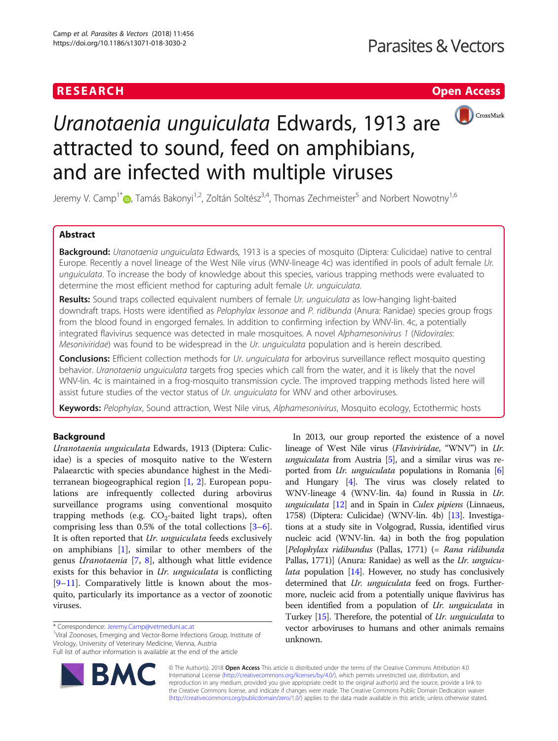### **RESEARCH CHEAR CHEAR CHEAR CHEAR CHEAR CHEAR CHEAR CHEAR CHEAR CHEAR CHEAR CHEAR CHEAR CHEAR CHEAR CHEAR CHEAR**



# Uranotaenia unguiculata Edwards, 1913 are attracted to sound, feed on amphibians, and are infected with multiple viruses

Jeremy V. Camp<sup>1[\\*](http://orcid.org/0000-0002-9040-5786)</sup> <sub>(b</sub>, Tamás Bakonyi<sup>1,2</sup>, Zoltán Soltész<sup>3,4</sup>, Thomas Zechmeister<sup>5</sup> and Norbert Nowotny<sup>1,6</sup>

### Abstract

Background: Uranotaenia unguiculata Edwards, 1913 is a species of mosquito (Diptera: Culicidae) native to central Europe. Recently a novel lineage of the West Nile virus (WNV-lineage 4c) was identified in pools of adult female Ur. unguiculata. To increase the body of knowledge about this species, various trapping methods were evaluated to determine the most efficient method for capturing adult female Ur. unguiculata.

Results: Sound traps collected equivalent numbers of female Ur. unquiculata as low-hanging light-baited downdraft traps. Hosts were identified as Pelophylax lessonae and P. ridibunda (Anura: Ranidae) species group frogs from the blood found in engorged females. In addition to confirming infection by WNV-lin. 4c, a potentially integrated flavivirus sequence was detected in male mosquitoes. A novel Alphamesonivirus 1 (Nidovirales: Mesoniviridae) was found to be widespread in the Ur. unguiculata population and is herein described.

**Conclusions:** Efficient collection methods for Ur. unguiculata for arbovirus surveillance reflect mosquito questing behavior. Uranotaenia unguiculata targets frog species which call from the water, and it is likely that the novel WNV-lin. 4c is maintained in a frog-mosquito transmission cycle. The improved trapping methods listed here will assist future studies of the vector status of Ur. unguiculata for WNV and other arboviruses.

Keywords: Pelophylax, Sound attraction, West Nile virus, Alphamesonivirus, Mosquito ecology, Ectothermic hosts

#### Background

Uranotaenia unguiculata Edwards, 1913 (Diptera: Culicidae) is a species of mosquito native to the Western Palaearctic with species abundance highest in the Mediterranean biogeographical region [\[1](#page-8-0), [2\]](#page-8-0). European populations are infrequently collected during arbovirus surveillance programs using conventional mosquito trapping methods (e.g.  $CO<sub>2</sub>$ -baited light traps), often comprising less than 0.5% of the total collections [\[3](#page-8-0)–[6](#page-8-0)]. It is often reported that *Ur. unguiculata* feeds exclusively on amphibians [[1\]](#page-8-0), similar to other members of the genus Uranotaenia [\[7](#page-8-0), [8\]](#page-8-0), although what little evidence exists for this behavior in Ur. unguiculata is conflicting [[9](#page-8-0)–[11\]](#page-8-0). Comparatively little is known about the mosquito, particularly its importance as a vector of zoonotic viruses.

\* Correspondence: [Jeremy.Camp@vetmeduni.ac.at](mailto:Jeremy.Camp@vetmeduni.ac.at) <sup>1</sup>

<sup>1</sup>Viral Zoonoses, Emerging and Vector-Borne Infections Group, Institute of Virology, University of Veterinary Medicine, Vienna, Austria Full list of author information is available at the end of the article



In 2013, our group reported the existence of a novel lineage of West Nile virus (Flaviviridae, "WNV") in Ur. unguiculata from Austria  $[5]$  $[5]$ , and a similar virus was reported from *Ur. unguiculata* populations in Romania [[6](#page-8-0)] and Hungary [\[4\]](#page-8-0). The virus was closely related to WNV-lineage 4 (WNV-lin. 4a) found in Russia in Ur. unguiculata  $[12]$  and in Spain in Culex pipiens (Linnaeus, 1758) (Diptera: Culicidae) (WNV-lin. 4b) [\[13\]](#page-8-0). Investigations at a study site in Volgograd, Russia, identified virus nucleic acid (WNV-lin. 4a) in both the frog population [Pelophylax ridibundus (Pallas, 1771) (= Rana ridibunda Pallas, 1771)] (Anura: Ranidae) as well as the *Ur. unguicu-*lata population [\[14\]](#page-8-0). However, no study has conclusively determined that Ur. unguiculata feed on frogs. Furthermore, nucleic acid from a potentially unique flavivirus has been identified from a population of Ur. unguiculata in Turkey [\[15\]](#page-8-0). Therefore, the potential of Ur. unguiculata to vector arboviruses to humans and other animals remains unknown.

© The Author(s). 2018 Open Access This article is distributed under the terms of the Creative Commons Attribution 4.0 International License [\(http://creativecommons.org/licenses/by/4.0/](http://creativecommons.org/licenses/by/4.0/)), which permits unrestricted use, distribution, and reproduction in any medium, provided you give appropriate credit to the original author(s) and the source, provide a link to the Creative Commons license, and indicate if changes were made. The Creative Commons Public Domain Dedication waiver [\(http://creativecommons.org/publicdomain/zero/1.0/](http://creativecommons.org/publicdomain/zero/1.0/)) applies to the data made available in this article, unless otherwise stated.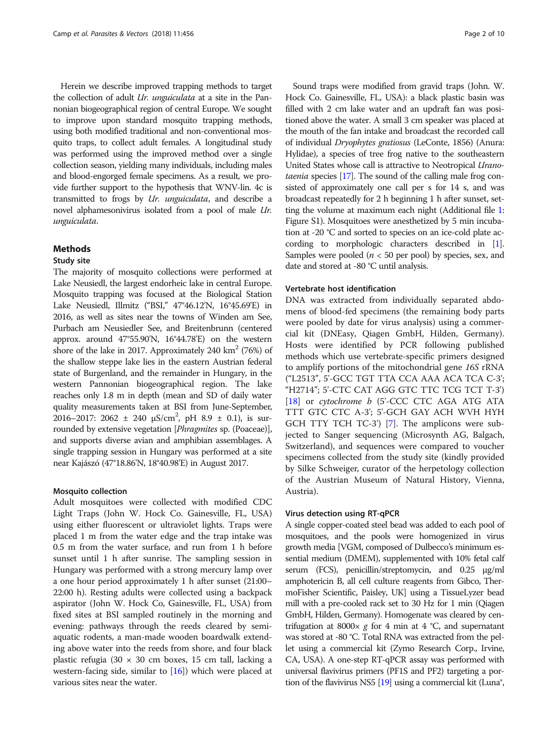Herein we describe improved trapping methods to target the collection of adult Ur. unguiculata at a site in the Pannonian biogeographical region of central Europe. We sought to improve upon standard mosquito trapping methods, using both modified traditional and non-conventional mosquito traps, to collect adult females. A longitudinal study was performed using the improved method over a single collection season, yielding many individuals, including males and blood-engorged female specimens. As a result, we provide further support to the hypothesis that WNV-lin. 4c is transmitted to frogs by Ur. unguiculata, and describe a novel alphamesonivirus isolated from a pool of male Ur. unguiculata.

#### Methods

#### Study site

The majority of mosquito collections were performed at Lake Neusiedl, the largest endorheic lake in central Europe. Mosquito trapping was focused at the Biological Station Lake Neusiedl, Illmitz ("BSI," 47°46.12'N, 16°45.69'E) in 2016, as well as sites near the towns of Winden am See, Purbach am Neusiedler See, and Breitenbrunn (centered approx. around 47°55.90'N, 16°44.78'E) on the western shore of the lake in 2017. Approximately 240  $\text{km}^2$  (76%) of the shallow steppe lake lies in the eastern Austrian federal state of Burgenland, and the remainder in Hungary, in the western Pannonian biogeographical region. The lake reaches only 1.8 m in depth (mean and SD of daily water quality measurements taken at BSI from June-September, 2016–2017: 2062  $\pm$  240  $\mu$ S/cm<sup>2</sup>, pH 8.9  $\pm$  0.1), is surrounded by extensive vegetation [Phragmites sp. (Poaceae)], and supports diverse avian and amphibian assemblages. A single trapping session in Hungary was performed at a site near Kajászó (47°18.86'N, 18°40.98'E) in August 2017.

#### Mosquito collection

Adult mosquitoes were collected with modified CDC Light Traps (John W. Hock Co. Gainesville, FL, USA) using either fluorescent or ultraviolet lights. Traps were placed 1 m from the water edge and the trap intake was 0.5 m from the water surface, and run from 1 h before sunset until 1 h after sunrise. The sampling session in Hungary was performed with a strong mercury lamp over a one hour period approximately 1 h after sunset (21:00– 22:00 h). Resting adults were collected using a backpack aspirator (John W. Hock Co, Gainesville, FL, USA) from fixed sites at BSI sampled routinely in the morning and evening: pathways through the reeds cleared by semiaquatic rodents, a man-made wooden boardwalk extending above water into the reeds from shore, and four black plastic refugia (30  $\times$  30 cm boxes, 15 cm tall, lacking a western-facing side, similar to [[16](#page-8-0)]) which were placed at various sites near the water.

Sound traps were modified from gravid traps (John. W. Hock Co. Gainesville, FL, USA): a black plastic basin was filled with 2 cm lake water and an updraft fan was positioned above the water. A small 3 cm speaker was placed at the mouth of the fan intake and broadcast the recorded call of individual Dryophytes gratiosus (LeConte, 1856) (Anura: Hylidae), a species of tree frog native to the southeastern United States whose call is attractive to Neotropical Uranotaenia species [\[17\]](#page-8-0). The sound of the calling male frog consisted of approximately one call per s for 14 s, and was broadcast repeatedly for 2 h beginning 1 h after sunset, setting the volume at maximum each night (Additional file [1](#page-8-0): Figure S1). Mosquitoes were anesthetized by 5 min incubation at -20 °C and sorted to species on an ice-cold plate according to morphologic characters described in [[1](#page-8-0)]. Samples were pooled ( $n < 50$  per pool) by species, sex, and date and stored at -80 °C until analysis.

#### Vertebrate host identification

DNA was extracted from individually separated abdomens of blood-fed specimens (the remaining body parts were pooled by date for virus analysis) using a commercial kit (DNEasy, Qiagen GmbH, Hilden, Germany). Hosts were identified by PCR following published methods which use vertebrate-specific primers designed to amplify portions of the mitochondrial gene 16S rRNA ("L2513", 5'-GCC TGT TTA CCA AAA ACA TCA C-3'; "H2714"; 5'-CTC CAT AGG GTC TTC TCG TCT T-3') [[18\]](#page-8-0) or cytochrome b (5'-CCC CTC AGA ATG ATA TTT GTC CTC A-3'; 5'-GCH GAY ACH WVH HYH GCH TTY TCH TC-3') [[7\]](#page-8-0). The amplicons were subjected to Sanger sequencing (Microsynth AG, Balgach, Switzerland), and sequences were compared to voucher specimens collected from the study site (kindly provided by Silke Schweiger, curator of the herpetology collection of the Austrian Museum of Natural History, Vienna, Austria).

#### Virus detection using RT-qPCR

A single copper-coated steel bead was added to each pool of mosquitoes, and the pools were homogenized in virus growth media [VGM, composed of Dulbecco's minimum essential medium (DMEM), supplemented with 10% fetal calf serum (FCS), penicillin/streptomycin, and 0.25 μg/ml amphotericin B, all cell culture reagents from Gibco, ThermoFisher Scientific, Paisley, UK] using a TissueLyzer bead mill with a pre-cooled rack set to 30 Hz for 1 min (Qiagen GmbH, Hilden, Germany). Homogenate was cleared by centrifugation at 8000 $\times g$  for 4 min at 4 °C, and supernatant was stored at -80 °C. Total RNA was extracted from the pellet using a commercial kit (Zymo Research Corp., Irvine, CA, USA). A one-step RT-qPCR assay was performed with universal flavivirus primers (PF1S and PF2) targeting a portion of the flavivirus NS5  $[19]$  using a commercial kit (Luna<sup>®</sup>,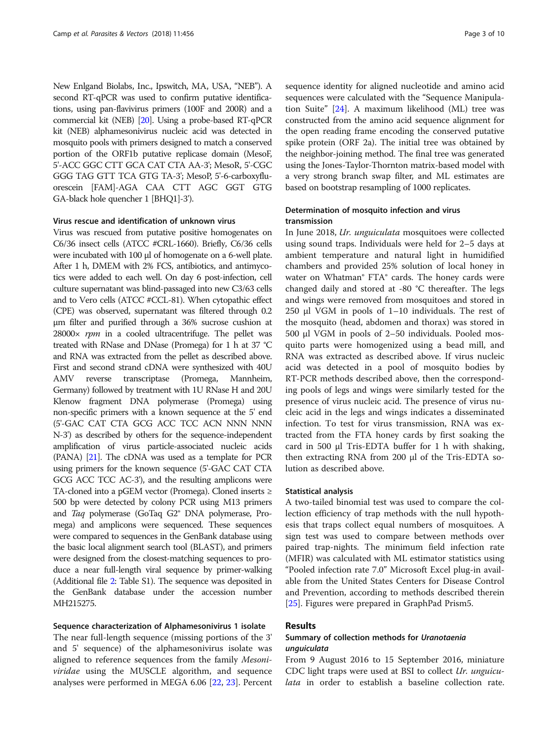New Enlgand Biolabs, Inc., Ipswitch, MA, USA, "NEB"). A second RT-qPCR was used to confirm putative identifications, using pan-flavivirus primers (100F and 200R) and a commercial kit (NEB) [\[20](#page-8-0)]. Using a probe-based RT-qPCR kit (NEB) alphamesonivirus nucleic acid was detected in mosquito pools with primers designed to match a conserved portion of the ORF1b putative replicase domain (MesoF, 5'-ACC GGC CTT GCA CAT CTA AA-3'; MesoR, 5'-CGC GGG TAG GTT TCA GTG TA-3'; MesoP, 5'-6-carboxyfluorescein [FAM]-AGA CAA CTT AGC GGT GTG GA-black hole quencher 1 [BHQ1]-3').

#### Virus rescue and identification of unknown virus

Virus was rescued from putative positive homogenates on C6/36 insect cells (ATCC #CRL-1660). Briefly, C6/36 cells were incubated with 100 μl of homogenate on a 6-well plate. After 1 h, DMEM with 2% FCS, antibiotics, and antimycotics were added to each well. On day 6 post-infection, cell culture supernatant was blind-passaged into new C3/63 cells and to Vero cells (ATCC #CCL-81). When cytopathic effect (CPE) was observed, supernatant was filtered through 0.2 μm filter and purified through a 36% sucrose cushion at  $28000\times$  rpm in a cooled ultracentrifuge. The pellet was treated with RNase and DNase (Promega) for 1 h at 37 °C and RNA was extracted from the pellet as described above. First and second strand cDNA were synthesized with 40U AMV reverse transcriptase (Promega, Mannheim, Germany) followed by treatment with 1U RNase H and 20U Klenow fragment DNA polymerase (Promega) using non-specific primers with a known sequence at the 5' end (5'-GAC CAT CTA GCG ACC TCC ACN NNN NNN N-3') as described by others for the sequence-independent amplification of virus particle-associated nucleic acids (PANA) [[21](#page-8-0)]. The cDNA was used as a template for PCR using primers for the known sequence (5'-GAC CAT CTA GCG ACC TCC AC-3'), and the resulting amplicons were TA-cloned into a pGEM vector (Promega). Cloned inserts ≥ 500 bp were detected by colony PCR using M13 primers and Taq polymerase (GoTaq G2® DNA polymerase, Promega) and amplicons were sequenced. These sequences were compared to sequences in the GenBank database using the basic local alignment search tool (BLAST), and primers were designed from the closest-matching sequences to produce a near full-length viral sequence by primer-walking (Additional file [2](#page-8-0): Table S1). The sequence was deposited in the GenBank database under the accession number MH215275.

#### Sequence characterization of Alphamesonivirus 1 isolate

The near full-length sequence (missing portions of the 3' and 5' sequence) of the alphamesonivirus isolate was aligned to reference sequences from the family Mesoni*viridae* using the MUSCLE algorithm, and sequence analyses were performed in MEGA 6.06 [[22](#page-8-0), [23](#page-8-0)]. Percent sequence identity for aligned nucleotide and amino acid sequences were calculated with the "Sequence Manipulation Suite" [[24\]](#page-8-0). A maximum likelihood (ML) tree was constructed from the amino acid sequence alignment for the open reading frame encoding the conserved putative spike protein (ORF 2a). The initial tree was obtained by the neighbor-joining method. The final tree was generated using the Jones-Taylor-Thornton matrix-based model with a very strong branch swap filter, and ML estimates are based on bootstrap resampling of 1000 replicates.

#### Determination of mosquito infection and virus transmission

In June 2018, Ur. unguiculata mosquitoes were collected using sound traps. Individuals were held for 2–5 days at ambient temperature and natural light in humidified chambers and provided 25% solution of local honey in water on Whatman® FTA® cards. The honey cards were changed daily and stored at -80 °C thereafter. The legs and wings were removed from mosquitoes and stored in 250 μl VGM in pools of 1–10 individuals. The rest of the mosquito (head, abdomen and thorax) was stored in 500 μl VGM in pools of 2–50 individuals. Pooled mosquito parts were homogenized using a bead mill, and RNA was extracted as described above. If virus nucleic acid was detected in a pool of mosquito bodies by RT-PCR methods described above, then the corresponding pools of legs and wings were similarly tested for the presence of virus nucleic acid. The presence of virus nucleic acid in the legs and wings indicates a disseminated infection. To test for virus transmission, RNA was extracted from the FTA honey cards by first soaking the card in 500 μl Tris-EDTA buffer for 1 h with shaking, then extracting RNA from 200 μl of the Tris-EDTA solution as described above.

#### Statistical analysis

A two-tailed binomial test was used to compare the collection efficiency of trap methods with the null hypothesis that traps collect equal numbers of mosquitoes. A sign test was used to compare between methods over paired trap-nights. The minimum field infection rate (MFIR) was calculated with ML estimator statistics using "Pooled infection rate 7.0" Microsoft Excel plug-in available from the United States Centers for Disease Control and Prevention, according to methods described therein [[25\]](#page-8-0). Figures were prepared in GraphPad Prism5.

#### Results

## Summary of collection methods for Uranotaenia<br>unguiculata

From 9 August 2016 to 15 September 2016, miniature CDC light traps were used at BSI to collect Ur. unguicu*lata* in order to establish a baseline collection rate.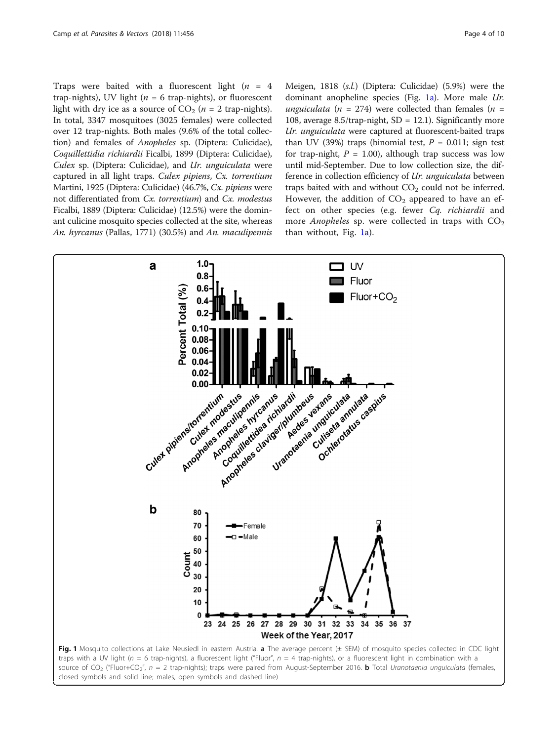<span id="page-3-0"></span>Traps were baited with a fluorescent light ( $n = 4$ ) trap-nights), UV light ( $n = 6$  trap-nights), or fluorescent light with dry ice as a source of  $CO<sub>2</sub>$  (*n* = 2 trap-nights). In total, 3347 mosquitoes (3025 females) were collected over 12 trap-nights. Both males (9.6% of the total collection) and females of Anopheles sp. (Diptera: Culicidae), Coquillettidia richiardii Ficalbi, 1899 (Diptera: Culicidae), Culex sp. (Diptera: Culicidae), and Ur. unguiculata were captured in all light traps. Culex pipiens, Cx. torrentium Martini, 1925 (Diptera: Culicidae) (46.7%, Cx. pipiens were not differentiated from Cx. torrentium) and Cx. modestus Ficalbi, 1889 (Diptera: Culicidae) (12.5%) were the dominant culicine mosquito species collected at the site, whereas An. hyrcanus (Pallas, 1771) (30.5%) and An. maculipennis

Meigen, 1818 (s.l.) (Diptera: Culicidae) (5.9%) were the dominant anopheline species (Fig. 1a). More male Ur. unguiculata (n = 274) were collected than females (n = 108, average  $8.5$ /trap-night, SD = 12.1). Significantly more Ur. unguiculata were captured at fluorescent-baited traps than UV (39%) traps (binomial test,  $P = 0.011$ ; sign test for trap-night,  $P = 1.00$ ), although trap success was low until mid-September. Due to low collection size, the difference in collection efficiency of Ur. unguiculata between traps baited with and without  $CO<sub>2</sub>$  could not be inferred. However, the addition of  $CO<sub>2</sub>$  appeared to have an effect on other species (e.g. fewer Cq. richiardii and more Anopheles sp. were collected in traps with  $CO<sub>2</sub>$ than without, Fig. 1a).

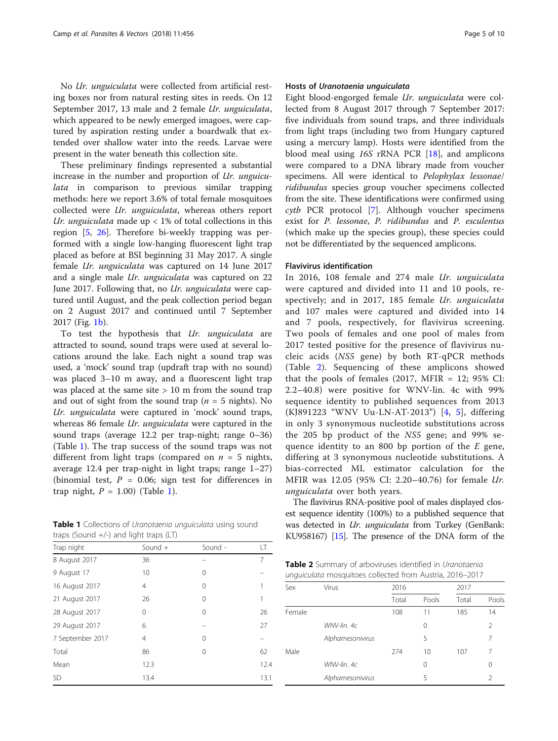<span id="page-4-0"></span>No Ur. unguiculata were collected from artificial resting boxes nor from natural resting sites in reeds. On 12 September 2017, 13 male and 2 female Ur. unguiculata, which appeared to be newly emerged imagoes, were captured by aspiration resting under a boardwalk that extended over shallow water into the reeds. Larvae were present in the water beneath this collection site.

These preliminary findings represented a substantial increase in the number and proportion of Ur. unguiculata in comparison to previous similar trapping methods: here we report 3.6% of total female mosquitoes collected were Ur. unguiculata, whereas others report Ur. unguiculata made up  $< 1\%$  of total collections in this region [\[5,](#page-8-0) [26](#page-8-0)]. Therefore bi-weekly trapping was performed with a single low-hanging fluorescent light trap placed as before at BSI beginning 31 May 2017. A single female Ur. unguiculata was captured on 14 June 2017 and a single male Ur. unguiculata was captured on 22 June 2017. Following that, no Ur. unguiculata were captured until August, and the peak collection period began on 2 August 2017 and continued until 7 September 2017 (Fig. [1b\)](#page-3-0).

To test the hypothesis that Ur. unguiculata are attracted to sound, sound traps were used at several locations around the lake. Each night a sound trap was used, a 'mock' sound trap (updraft trap with no sound) was placed 3–10 m away, and a fluorescent light trap was placed at the same site  $> 10$  m from the sound trap and out of sight from the sound trap ( $n = 5$  nights). No Ur. unguiculata were captured in 'mock' sound traps, whereas 86 female *Ur. unguiculata* were captured in the sound traps (average 12.2 per trap-night; range 0–36) (Table 1). The trap success of the sound traps was not different from light traps (compared on  $n = 5$  nights, average 12.4 per trap-night in light traps; range 1–27) (binomial test,  $P = 0.06$ ; sign test for differences in trap night,  $P = 1.00$ ) (Table 1).

Table 1 Collections of Uranotaenia unguiculata using sound traps (Sound +/-) and light traps (LT)

| Trap night       | Sound +  | Sound - | LT   |
|------------------|----------|---------|------|
| 8 August 2017    | 36       |         | 7    |
| 9 August 17      | 10       | 0       |      |
| 16 August 2017   | 4        | 0       |      |
| 21 August 2017   | 26       | 0       |      |
| 28 August 2017   | $\Omega$ | 0       | 26   |
| 29 August 2017   | 6        |         | 27   |
| 7 September 2017 | 4        | 0       |      |
| Total            | 86       | 0       | 62   |
| Mean             | 12.3     |         | 12.4 |
| SD               | 13.4     |         | 13.1 |

#### Hosts of Uranotaenia unguiculata

Eight blood-engorged female Ur. unguiculata were collected from 8 August 2017 through 7 September 2017: five individuals from sound traps, and three individuals from light traps (including two from Hungary captured using a mercury lamp). Hosts were identified from the blood meal using 16S rRNA PCR [\[18](#page-8-0)], and amplicons were compared to a DNA library made from voucher specimens. All were identical to Pelophylax lessonae/ ridibundus species group voucher specimens collected from the site. These identifications were confirmed using cytb PCR protocol [[7\]](#page-8-0). Although voucher specimens exist for P. lessonae, P. ridibundus and P. esculentus (which make up the species group), these species could not be differentiated by the sequenced amplicons.

#### Flavivirus identification

In 2016, 108 female and 274 male Ur. unguiculata were captured and divided into 11 and 10 pools, respectively; and in 2017, 185 female Ur. unguiculata and 107 males were captured and divided into 14 and 7 pools, respectively, for flavivirus screening. Two pools of females and one pool of males from 2017 tested positive for the presence of flavivirus nucleic acids (NS5 gene) by both RT-qPCR methods (Table 2). Sequencing of these amplicons showed that the pools of females (2017, MFIR = 12;  $95\%$  CI: 2.2–40.8) were positive for WNV-lin. 4c with 99% sequence identity to published sequences from 2013 (KJ891223 "WNV Uu-LN-AT-2013") [[4](#page-8-0), [5\]](#page-8-0), differing in only 3 synonymous nucleotide substitutions across the 205 bp product of the NS5 gene; and 99% sequence identity to an 800 bp portion of the  $E$  gene, differing at 3 synonymous nucleotide substitutions. A bias-corrected ML estimator calculation for the MFIR was 12.05 (95% CI: 2.20–40.76) for female Ur. unguiculata over both years.

The flavivirus RNA-positive pool of males displayed closest sequence identity (100%) to a published sequence that was detected in Ur. unguiculata from Turkey (GenBank: KU958167) [\[15](#page-8-0)]. The presence of the DNA form of the

| Table 2 Summary of arboviruses identified in Uranotaenia |  |  |
|----------------------------------------------------------|--|--|
| unguiculata mosquitoes collected from Austria, 2016-2017 |  |  |

| Sex    | Virus            | 2016  |       | 2017  |          |  |
|--------|------------------|-------|-------|-------|----------|--|
|        |                  | Total | Pools | Total | Pools    |  |
| Female |                  | 108   | 11    | 185   | 14       |  |
|        | WNV-lin, 4c      |       | 0     |       | 2        |  |
|        | Alphamesonivirus |       | 5     |       | 7        |  |
| Male   |                  | 274   | 10    | 107   | 7        |  |
|        | WNV-lin, 4c      |       | 0     |       | $\Omega$ |  |
|        | Alphamesonivirus |       | 5     |       | 2        |  |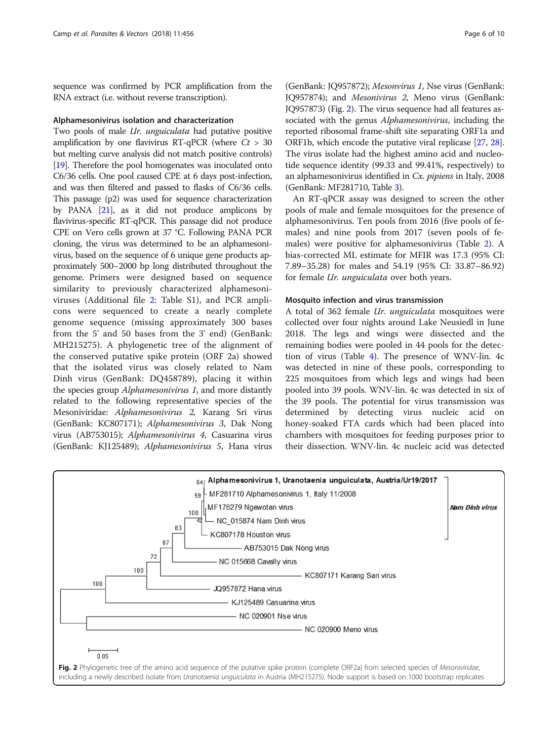sequence was confirmed by PCR amplification from the RNA extract (i.e. without reverse transcription).

#### Alphamesonivirus isolation and characterization

Two pools of male *Ur. unguiculata* had putative positive amplification by one flavivirus RT-qPCR (where  $Ct > 30$ but melting curve analysis did not match positive controls) [[19](#page-8-0)]. Therefore the pool homogenates was inoculated onto C6/36 cells. One pool caused CPE at 6 days post-infection, and was then filtered and passed to flasks of C6/36 cells. This passage (p2) was used for sequence characterization by PANA  $[21]$ , as it did not produce amplicons by flavivirus-specific RT-qPCR. This passage did not produce CPE on Vero cells grown at 37 °C. Following PANA PCR cloning, the virus was determined to be an alphamesonivirus, based on the sequence of 6 unique gene products approximately 500–2000 bp long distributed throughout the genome. Primers were designed based on sequence similarity to previously characterized alphamesoniviruses (Additional file [2:](#page-8-0) Table S1), and PCR amplicons were sequenced to create a nearly complete genome sequence (missing approximately 300 bases from the 5' and 50 bases from the 3' end) (GenBank: MH215275). A phylogenetic tree of the alignment of the conserved putative spike protein (ORF 2a) showed that the isolated virus was closely related to Nam Dinh virus (GenBank: DQ458789), placing it within the species group Alphamesonivirus 1, and more distantly related to the following representative species of the Mesoniviridae: Alphamesonivirus 2, Karang Sri virus (GenBank: KC807171); Alphamesonivirus 3, Dak Nong virus (AB753015); Alphamesonivirus 4, Casuarina virus (GenBank: KJ125489); Alphamesonivirus 5, Hana virus

(GenBank: JQ957872); Mesonvirus 1, Nse virus (GenBank: JQ957874); and Mesonivirus 2, Meno virus (GenBank: JQ957873) (Fig. 2). The virus sequence had all features associated with the genus *Alphamesonivirus*, including the reported ribosomal frame-shift site separating ORF1a and ORF1b, which encode the putative viral replicase [\[27,](#page-8-0) [28](#page-9-0)]. The virus isolate had the highest amino acid and nucleotide sequence identity (99.33 and 99.41%, respectively) to an alphamesonivirus identified in Cx. pipiens in Italy, 2008 (GenBank: MF281710, Table [3](#page-6-0)).

An RT-qPCR assay was designed to screen the other pools of male and female mosquitoes for the presence of alphamesonivirus. Ten pools from 2016 (five pools of females) and nine pools from 2017 (seven pools of females) were positive for alphamesonivirus (Table [2\)](#page-4-0). A bias-corrected ML estimate for MFIR was 17.3 (95% CI: 7.89–35.28) for males and 54.19 (95% CI: 33.87–86.92) for female Ur. unguiculata over both years.

#### Mosquito infection and virus transmission

A total of 362 female Ur. unguiculata mosquitoes were collected over four nights around Lake Neusiedl in June 2018. The legs and wings were dissected and the remaining bodies were pooled in 44 pools for the detection of virus (Table [4](#page-6-0)). The presence of WNV-lin. 4c was detected in nine of these pools, corresponding to 225 mosquitoes from which legs and wings had been pooled into 39 pools. WNV-lin. 4c was detected in six of the 39 pools. The potential for virus transmission was determined by detecting virus nucleic acid on honey-soaked FTA cards which had been placed into chambers with mosquitoes for feeding purposes prior to their dissection. WNV-lin. 4c nucleic acid was detected

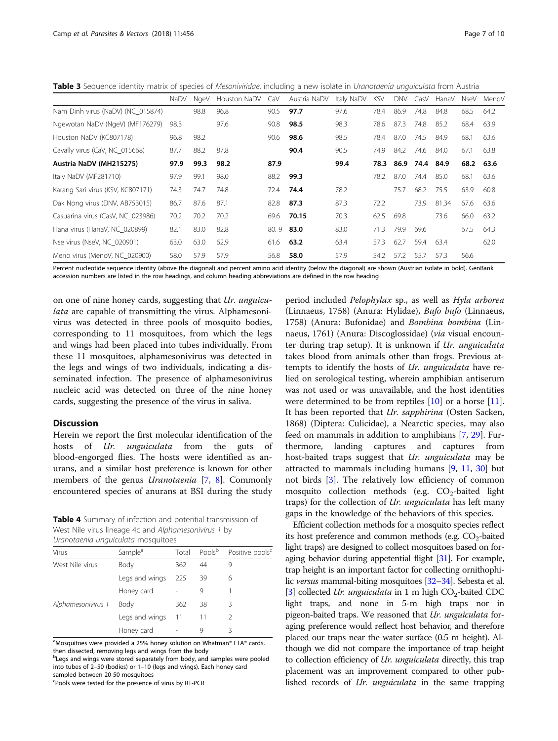<span id="page-6-0"></span>Table 3 Sequence identity matrix of species of Mesoniviridae, including a new isolate in Uranotaenia unguiculata from Austria

|                                   | <b>NaDV</b> | NgeV | Houston NaDV | CaV  | Austria NaDV | Italy NaDV | <b>KSV</b> | DNV  | CasV      | HanaV | NseV      | Menov |
|-----------------------------------|-------------|------|--------------|------|--------------|------------|------------|------|-----------|-------|-----------|-------|
| Nam Dinh virus (NaDV) (NC 015874) |             | 98.8 | 96.8         | 90.5 | 97.7         | 97.6       | 78.4       | 86.9 | 74.8      | 84.8  | 68.5      | 64.2  |
| Ngewotan NaDV (NgeV) (MF176279)   | 98.3        |      | 97.6         | 90.8 | 98.5         | 98.3       | 78.6       | 87.3 | 74.8      | 85.2  | 68.4      | 63.9  |
| Houston NaDV (KC807178)           | 96.8        | 98.2 |              | 90.6 | 98.6         | 98.5       | 78.4       | 87.0 | 74.5      | 84.9  | 68.1      | 63.6  |
| Cavally virus (CaV, NC_015668)    | 87.7        | 88.2 | 87.8         |      | 90.4         | 90.5       | 74.9       | 84.2 | 74.6      | 84.0  | 67.1      | 63.8  |
| Austria NaDV (MH215275)           | 97.9        | 99.3 | 98.2         | 87.9 |              | 99.4       | 78.3       |      | 86.9 74.4 | 84.9  | 68.2 63.6 |       |
| Italy NaDV (MF281710)             | 97.9        | 99.1 | 98.0         | 88.2 | 99.3         |            | 78.2       | 87.0 | 74.4      | 85.0  | 68.1      | 63.6  |
| Karang Sari virus (KSV, KC807171) | 74.3        | 74.7 | 74.8         | 72.4 | 74.4         | 78.2       |            | 75.7 | 68.2      | 75.5  | 63.9      | 60.8  |
| Dak Nong virus (DNV, AB753015)    | 86.7        | 87.6 | 87.1         | 82.8 | 87.3         | 87.3       | 72.2       |      | 73.9      | 81.34 | 67.6      | 63.6  |
| Casuarina virus (CasV, NC_023986) | 70.2        | 70.2 | 70.2         | 69.6 | 70.15        | 70.3       | 62.5       | 69.8 |           | 73.6  | 66.0      | 63.2  |
| Hana virus (HanaV, NC 020899)     | 82.1        | 83.0 | 82.8         | 80.9 | 83.0         | 83.0       | 71.3       | 79.9 | 69.6      |       | 67.5      | 64.3  |
| Nse virus (NseV, NC 020901)       | 63.0        | 63.0 | 62.9         | 61.6 | 63.2         | 63.4       | 57.3       | 62.7 | 59.4      | 63.4  |           | 62.0  |
| Meno virus (MenoV, NC 020900)     | 58.0        | 57.9 | 57.9         | 56.8 | 58.0         | 57.9       | 54.2       | 57.2 | 55.7      | 57.3  | 56.6      |       |
|                                   |             |      |              |      |              |            |            |      |           |       |           |       |

Percent nucleotide sequence identity (above the diagonal) and percent amino acid identity (below the diagonal) are shown (Austrian isolate in bold). GenBank accession numbers are listed in the row headings, and column heading abbreviations are defined in the row heading

on one of nine honey cards, suggesting that Ur. unguiculata are capable of transmitting the virus. Alphamesonivirus was detected in three pools of mosquito bodies, corresponding to 11 mosquitoes, from which the legs and wings had been placed into tubes individually. From these 11 mosquitoes, alphamesonivirus was detected in the legs and wings of two individuals, indicating a disseminated infection. The presence of alphamesonivirus nucleic acid was detected on three of the nine honey cards, suggesting the presence of the virus in saliva.

#### **Discussion**

Herein we report the first molecular identification of the hosts of Ur. unguiculata from the guts of blood-engorged flies. The hosts were identified as anurans, and a similar host preference is known for other members of the genus *Uranotaenia* [\[7,](#page-8-0) [8\]](#page-8-0). Commonly encountered species of anurans at BSI during the study

Table 4 Summary of infection and potential transmission of West Nile virus lineage 4c and Alphamesonivirus 1 by Uranotaenia unguiculata mosquitoes

| channotate into annofancanata into sejarto co |                     |       |                    |                             |  |  |  |
|-----------------------------------------------|---------------------|-------|--------------------|-----------------------------|--|--|--|
| Virus                                         | Sample <sup>a</sup> | Total | Pools <sup>b</sup> | Positive pools <sup>c</sup> |  |  |  |
| West Nile virus                               | Body                | 362   | 44                 |                             |  |  |  |
|                                               | Legs and wings      | 225   | 39                 | 6                           |  |  |  |
|                                               | Honey card          |       | 9                  |                             |  |  |  |
| Alphamesonivirus 1                            | Body                | 362   | 38                 | 3                           |  |  |  |
|                                               | Legs and wings      | 11    | 11                 |                             |  |  |  |
|                                               | Honey card          |       |                    | Β                           |  |  |  |

<sup>a</sup>Mosquitoes were provided a 25% honey solution on Whatman® FTA® cards, then dissected, removing legs and wings from the body

<sup>b</sup>Legs and wings were stored separately from body, and samples were pooled into tubes of 2–50 (bodies) or 1–10 (legs and wings). Each honey card sampled between 20-50 mosquitoes

Pools were tested for the presence of virus by RT-PCR

period included Pelophylax sp., as well as Hyla arborea (Linnaeus, 1758) (Anura: Hylidae), Bufo bufo (Linnaeus, 1758) (Anura: Bufonidae) and Bombina bombina (Linnaeus, 1761) (Anura: Discoglossidae) (via visual encounter during trap setup). It is unknown if Ur. unguiculata takes blood from animals other than frogs. Previous attempts to identify the hosts of Ur. unguiculata have relied on serological testing, wherein amphibian antiserum was not used or was unavailable, and the host identities were determined to be from reptiles [[10](#page-8-0)] or a horse [\[11](#page-8-0)]. It has been reported that *Ur. sapphirina* (Osten Sacken, 1868) (Diptera: Culicidae), a Nearctic species, may also feed on mammals in addition to amphibians [[7,](#page-8-0) [29\]](#page-9-0). Furthermore, landing captures and captures from host-baited traps suggest that Ur. unguiculata may be attracted to mammals including humans [\[9](#page-8-0), [11](#page-8-0), [30\]](#page-9-0) but not birds [[3\]](#page-8-0). The relatively low efficiency of common mosquito collection methods (e.g.  $CO<sub>2</sub>$ -baited light traps) for the collection of Ur. unguiculata has left many gaps in the knowledge of the behaviors of this species.

Efficient collection methods for a mosquito species reflect its host preference and common methods (e.g.  $CO<sub>2</sub>$ -baited light traps) are designed to collect mosquitoes based on foraging behavior during appetential flight [\[31](#page-9-0)]. For example, trap height is an important factor for collecting ornithophilic versus mammal-biting mosquitoes [\[32](#page-9-0)–[34\]](#page-9-0). Sebesta et al. [[3](#page-8-0)] collected *Ur. unguiculata* in 1 m high  $CO<sub>2</sub>$ -baited CDC light traps, and none in 5-m high traps nor in pigeon-baited traps. We reasoned that Ur. unguiculata foraging preference would reflect host behavior, and therefore placed our traps near the water surface (0.5 m height). Although we did not compare the importance of trap height to collection efficiency of *Ur. unguiculata* directly, this trap placement was an improvement compared to other published records of Ur. unguiculata in the same trapping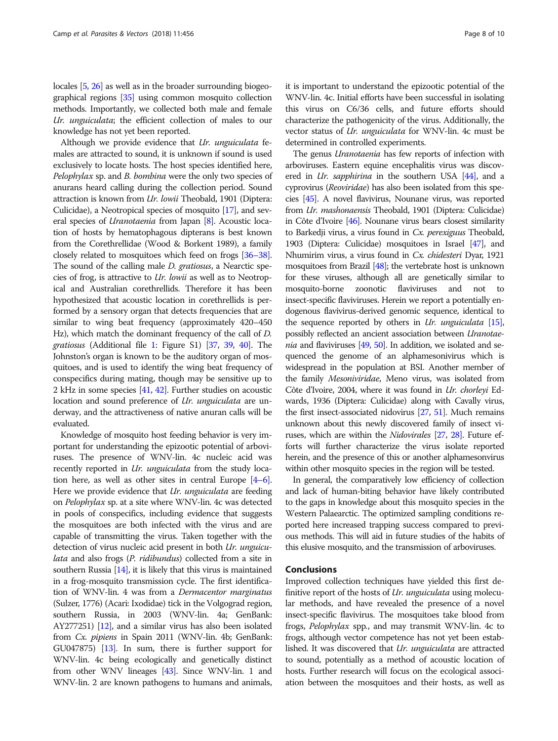locales [\[5,](#page-8-0) [26](#page-8-0)] as well as in the broader surrounding biogeographical regions [\[35\]](#page-9-0) using common mosquito collection methods. Importantly, we collected both male and female Ur. unguiculata; the efficient collection of males to our knowledge has not yet been reported.

Although we provide evidence that Ur. unguiculata females are attracted to sound, it is unknown if sound is used exclusively to locate hosts. The host species identified here, Pelophylax sp. and B. bombina were the only two species of anurans heard calling during the collection period. Sound attraction is known from Ur. lowii Theobald, 1901 (Diptera: Culicidae), a Neotropical species of mosquito [\[17\]](#page-8-0), and several species of *Uranotaenia* from Japan [\[8](#page-8-0)]. Acoustic location of hosts by hematophagous dipterans is best known from the Corethrellidae (Wood & Borkent 1989), a family closely related to mosquitoes which feed on frogs [[36](#page-9-0)–[38](#page-9-0)]. The sound of the calling male D. gratiosus, a Nearctic species of frog, is attractive to Ur. lowii as well as to Neotropical and Australian corethrellids. Therefore it has been hypothesized that acoustic location in corethrellids is performed by a sensory organ that detects frequencies that are similar to wing beat frequency (approximately 420–450 Hz), which match the dominant frequency of the call of D. gratiosus (Additional file [1](#page-8-0): Figure S1) [\[37](#page-9-0), [39,](#page-9-0) [40\]](#page-9-0). The Johnston's organ is known to be the auditory organ of mosquitoes, and is used to identify the wing beat frequency of conspecifics during mating, though may be sensitive up to 2 kHz in some species [\[41,](#page-9-0) [42](#page-9-0)]. Further studies on acoustic location and sound preference of *Ur. unguiculata* are underway, and the attractiveness of native anuran calls will be evaluated.

Knowledge of mosquito host feeding behavior is very important for understanding the epizootic potential of arboviruses. The presence of WNV-lin. 4c nucleic acid was recently reported in Ur. unguiculata from the study location here, as well as other sites in central Europe [\[4](#page-8-0)–[6](#page-8-0)]. Here we provide evidence that *Ur. unguiculata* are feeding on Pelophylax sp. at a site where WNV-lin. 4c was detected in pools of conspecifics, including evidence that suggests the mosquitoes are both infected with the virus and are capable of transmitting the virus. Taken together with the detection of virus nucleic acid present in both Ur. unguiculata and also frogs (P. ridibundus) collected from a site in southern Russia [[14\]](#page-8-0), it is likely that this virus is maintained in a frog-mosquito transmission cycle. The first identification of WNV-lin. 4 was from a Dermacentor marginatus (Sulzer, 1776) (Acari: Ixodidae) tick in the Volgograd region, southern Russia, in 2003 (WNV-lin. 4a; GenBank: AY277251) [\[12](#page-8-0)], and a similar virus has also been isolated from Cx. pipiens in Spain 2011 (WNV-lin. 4b; GenBank: GU047875) [\[13\]](#page-8-0). In sum, there is further support for WNV-lin. 4c being ecologically and genetically distinct from other WNV lineages [[43\]](#page-9-0). Since WNV-lin. 1 and WNV-lin. 2 are known pathogens to humans and animals, it is important to understand the epizootic potential of the WNV-lin. 4c. Initial efforts have been successful in isolating this virus on C6/36 cells, and future efforts should characterize the pathogenicity of the virus. Additionally, the vector status of Ur. unguiculata for WNV-lin. 4c must be determined in controlled experiments.

The genus *Uranotaenia* has few reports of infection with arboviruses. Eastern equine encephalitis virus was discovered in *Ur. sapphirina* in the southern USA [\[44](#page-9-0)], and a cyprovirus (Reoviridae) has also been isolated from this species [\[45](#page-9-0)]. A novel flavivirus, Nounane virus, was reported from Ur. mashonaensis Theobald, 1901 (Diptera: Culicidae) in Côte d'Ivoire [\[46](#page-9-0)]. Nounane virus bears closest similarity to Barkedji virus, a virus found in Cx. perexiguus Theobald, 1903 (Diptera: Culicidae) mosquitoes in Israel [\[47\]](#page-9-0), and Nhumirim virus, a virus found in Cx. chidesteri Dyar, 1921 mosquitoes from Brazil [[48](#page-9-0)]; the vertebrate host is unknown for these viruses, although all are genetically similar to mosquito-borne zoonotic flaviviruses and not to insect-specific flaviviruses. Herein we report a potentially endogenous flavivirus-derived genomic sequence, identical to the sequence reported by others in Ur. unguiculata  $[15]$ , possibly reflected an ancient association between Uranotae*nia* and flaviviruses  $[49, 50]$  $[49, 50]$  $[49, 50]$ . In addition, we isolated and sequenced the genome of an alphamesonivirus which is widespread in the population at BSI. Another member of the family Mesoniviridae, Meno virus, was isolated from Côte d'Ivoire, 2004, where it was found in Ur. chorleyi Edwards, 1936 (Diptera: Culicidae) along with Cavally virus, the first insect-associated nidovirus [[27](#page-8-0), [51\]](#page-9-0). Much remains unknown about this newly discovered family of insect viruses, which are within the Nidovirales [\[27,](#page-8-0) [28\]](#page-9-0). Future efforts will further characterize the virus isolate reported herein, and the presence of this or another alphamesonvirus within other mosquito species in the region will be tested.

In general, the comparatively low efficiency of collection and lack of human-biting behavior have likely contributed to the gaps in knowledge about this mosquito species in the Western Palaearctic. The optimized sampling conditions reported here increased trapping success compared to previous methods. This will aid in future studies of the habits of this elusive mosquito, and the transmission of arboviruses.

#### Conclusions

Improved collection techniques have yielded this first definitive report of the hosts of *Ur. unguiculata* using molecular methods, and have revealed the presence of a novel insect-specific flavivirus. The mosquitoes take blood from frogs, Pelophylax spp., and may transmit WNV-lin. 4c to frogs, although vector competence has not yet been established. It was discovered that *Ur. unguiculata* are attracted to sound, potentially as a method of acoustic location of hosts. Further research will focus on the ecological association between the mosquitoes and their hosts, as well as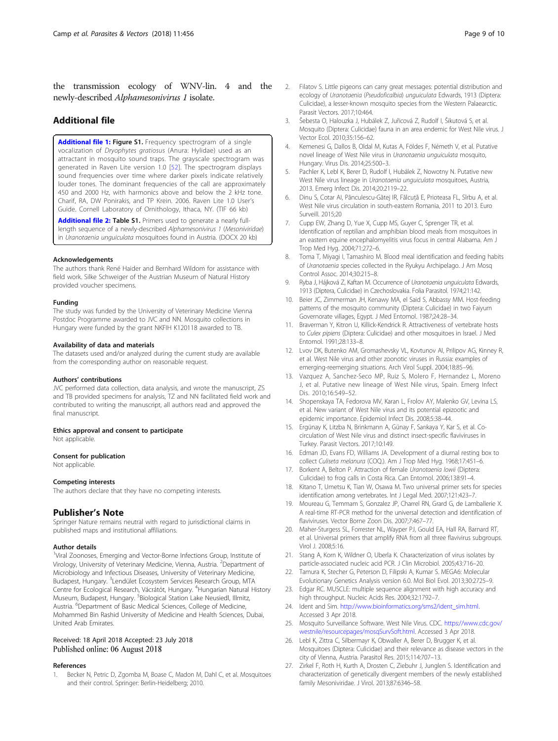<span id="page-8-0"></span>the transmission ecology of WNV-lin. 4 and the newly-described Alphamesonivirus 1 isolate.

#### Additional file

[Additional file 1:](https://doi.org/10.1186/s13071-018-3030-2) Figure S1. Frequency spectrogram of a single vocalization of Dryophytes gratiosus (Anura: Hylidae) used as an attractant in mosquito sound traps. The grayscale spectrogram was generated in Raven Lite version 1.0 [[52](#page-9-0)]. The spectrogram displays sound frequencies over time where darker pixels indicate relatively louder tones. The dominant frequencies of the call are approximately 450 and 2000 Hz, with harmonics above and below the 2 kHz tone. Charif, RA, DW Ponirakis, and TP Krein. 2006. Raven Lite 1.0 User's Guide. Cornell Laboratory of Ornithology, Ithaca, NY. (TIF 66 kb)

[Additional file 2:](https://doi.org/10.1186/s13071-018-3030-2) Table S1. Primers used to generate a nearly fulllength sequence of a newly-described Alphamesonivirus 1 (Mesoniviridae) in Uranotaenia unguiculata mosquitoes found in Austria. (DOCX 20 kb)

#### Acknowledgements

The authors thank René Haider and Bernhard Wildom for assistance with field work. Silke Schweiger of the Austrian Museum of Natural History provided voucher specimens.

#### Funding

The study was funded by the University of Veterinary Medicine Vienna Postdoc Programme awarded to JVC and NN. Mosquito collections in Hungary were funded by the grant NKFIH K120118 awarded to TB.

#### Availability of data and materials

The datasets used and/or analyzed during the current study are available from the corresponding author on reasonable request.

#### Authors' contributions

JVC performed data collection, data analysis, and wrote the manuscript, ZS and TB provided specimens for analysis, TZ and NN facilitated field work and contributed to writing the manuscript, all authors read and approved the final manuscript.

#### Ethics approval and consent to participate

Not applicable.

#### Consent for publication

Not applicable.

#### Competing interests

The authors declare that they have no competing interests.

#### Publisher's Note

Springer Nature remains neutral with regard to jurisdictional claims in published maps and institutional affiliations.

#### Author details

<sup>1</sup>Viral Zoonoses, Emerging and Vector-Borne Infections Group, Institute of Virology, University of Veterinary Medicine, Vienna, Austria. <sup>2</sup>Department of Microbiology and Infectious Diseases, University of Veterinary Medicine, Budapest, Hungary. <sup>3</sup>Lendület Ecosystem Services Research Group, MTA Centre for Ecological Research, Vácrátót, Hungary. <sup>4</sup>Hungarian Natural History Museum, Budapest, Hungary. <sup>5</sup>Biological Station Lake Neusiedl, Illmitz, Austria. <sup>6</sup>Department of Basic Medical Sciences, College of Medicine, Mohammed Bin Rashid University of Medicine and Health Sciences, Dubai, United Arab Emirates.

#### Received: 18 April 2018 Accepted: 23 July 2018 Published online: 06 August 2018

#### References

1. Becker N, Petric D, Zgomba M, Boase C, Madon M, Dahl C, et al. Mosquitoes and their control. Springer: Berlin-Heidelberg; 2010.

- 2. Filatov S. Little pigeons can carry great messages: potential distribution and ecology of Uranotaenia (Pseudoficalbia) unguiculata Edwards, 1913 (Diptera: Culicidae), a lesser-known mosquito species from the Western Palaearctic. Parasit Vectors. 2017;10:464.
- 3. Šebesta O, Halouzka J, Hubálek Z, Juřicová Z, Rudolf I, Šikutová S, et al. Mosquito (Diptera: Culicidae) fauna in an area endemic for West Nile virus. J Vector Ecol. 2010;35:156–62.
- 4. Kemenesi G, Dallos B, Oldal M, Kutas A, Földes F, Németh V, et al. Putative novel lineage of West Nile virus in Uranotaenia unguiculata mosquito, Hungary. Virus Dis. 2014;25:500–3.
- 5. Pachler K, Lebl K, Berer D, Rudolf I, Hubálek Z, Nowotny N. Putative new West Nile virus lineage in Uranotaenia unguiculata mosquitoes, Austria, 2013. Emerg Infect Dis. 2014;20:2119–22.
- 6. Dinu S, Cotar AI, Pănculescu-Gătej IR, Fălcuţă E, Prioteasa FL, Sîrbu A, et al. West Nile virus circulation in south-eastern Romania, 2011 to 2013. Euro Surveill. 2015;20
- 7. Cupp EW, Zhang D, Yue X, Cupp MS, Guyer C, Sprenger TR, et al. Identification of reptilian and amphibian blood meals from mosquitoes in an eastern equine encephalomyelitis virus focus in central Alabama. Am J Trop Med Hyg. 2004;71:272–6.
- 8. Toma T, Miyagi I, Tamashiro M. Blood meal identification and feeding habits of Uranotaenia species collected in the Ryukyu Archipelago. J Am Mosq Control Assoc. 2014;30:215–8.
- 9. Ryba J, Hájková Z, Kaftan M, Occurrence of Uranotaenia unaujculata Edwards, 1913 (Diptera, Culicidae) in Czechoslovakia. Folia Parasitol. 1974;21:142.
- 10. Beier JC, Zimmerman JH, Kenawy MA, el Said S, Abbassy MM. Host-feeding patterns of the mosquito community (Diptera: Culicidae) in two Faiyum Governorate villages, Egypt. J Med Entomol. 1987;24:28–34.
- 11. Braverman Y, Kitron U, Killick-Kendrick R. Attractiveness of vertebrate hosts to Culex pipiens (Diptera: Culicidae) and other mosquitoes in Israel. J Med Entomol. 1991;28:133–8.
- 12. Lvov DK, Butenko AM, Gromashevsky VL, Kovtunov AI, Prilipov AG, Kinney R, et al. West Nile virus and other zoonotic viruses in Russia: examples of emerging-reemerging situations. Arch Virol Suppl. 2004;18:85–96.
- 13. Vazquez A, Sanchez-Seco MP, Ruiz S, Molero F, Hernandez L, Moreno J, et al. Putative new lineage of West Nile virus, Spain. Emerg Infect Dis. 2010;16:549–52.
- 14. Shopenskaya TA, Fedorova MV, Karan L, Frolov AY, Malenko GV, Levina LS, et al. New variant of West Nile virus and its potential epizootic and epidemic importance. Epidemiol Infect Dis. 2008;5:38–44.
- 15. Ergünay K, Litzba N, Brinkmann A, Günay F, Sarıkaya Y, Kar S, et al. Cocirculation of West Nile virus and distinct insect-specific flaviviruses in Turkey. Parasit Vectors. 2017;10:149.
- 16. Edman JD, Evans FD, Williams JA. Development of a diurnal resting box to collect Culiseta melanura (COQ.). Am J Trop Med Hyg. 1968;17:451–6.
- 17. Borkent A, Belton P. Attraction of female Uranotaenia lowii (Diptera: Culicidae) to frog calls in Costa Rica. Can Entomol. 2006;138:91–4.
- 18. Kitano T, Umetsu K, Tian W, Osawa M. Two universal primer sets for species identification among vertebrates. Int J Legal Med. 2007;121:423–7.
- 19. Moureau G, Temmam S, Gonzalez JP, Charrel RN, Grard G, de Lamballerie X. A real-time RT-PCR method for the universal detection and identification of flaviviruses. Vector Borne Zoon Dis. 2007;7:467–77.
- 20. Maher-Sturgess SL, Forrester NL, Wayper PJ, Gould EA, Hall RA, Barnard RT, et al. Universal primers that amplify RNA from all three flavivirus subgroups. Virol J. 2008;5:16.
- 21. Stang A, Korn K, Wildner O, Uberla K. Characterization of virus isolates by particle-associated nucleic acid PCR. J Clin Microbiol. 2005;43:716–20.
- 22. Tamura K, Stecher G, Peterson D, Filipski A, Kumar S. MEGA6: Molecular Evolutionary Genetics Analysis version 6.0. Mol Biol Evol. 2013;30:2725–9.
- 23. Edgar RC. MUSCLE: multiple sequence alignment with high accuracy and high throughput. Nucleic Acids Res. 2004;32:1792–7.
- 24. Ident and Sim. [http://www.bioinformatics.org/sms2/ident\\_sim.html](http://www.bioinformatics.org/sms2/ident_sim.html). Accessed 3 Apr 2018.
- 25. Mosquito Surveillance Software. West Nile Virus. CDC. [https://www.cdc.gov/](https://www.cdc.gov/westnile/resourcepages/mosqSurvSoft.html) [westnile/resourcepages/mosqSurvSoft.html.](https://www.cdc.gov/westnile/resourcepages/mosqSurvSoft.html) Accessed 3 Apr 2018.
- 26. Lebl K, Zittra C, Silbermayr K, Obwaller A, Berer D, Brugger K, et al. Mosquitoes (Diptera: Culicidae) and their relevance as disease vectors in the city of Vienna, Austria. Parasitol Res. 2015;114:707–13.
- 27. Zirkel F, Roth H, Kurth A, Drosten C, Ziebuhr J, Junglen S. Identification and characterization of genetically divergent members of the newly established family Mesoniviridae. J Virol. 2013;87:6346–58.